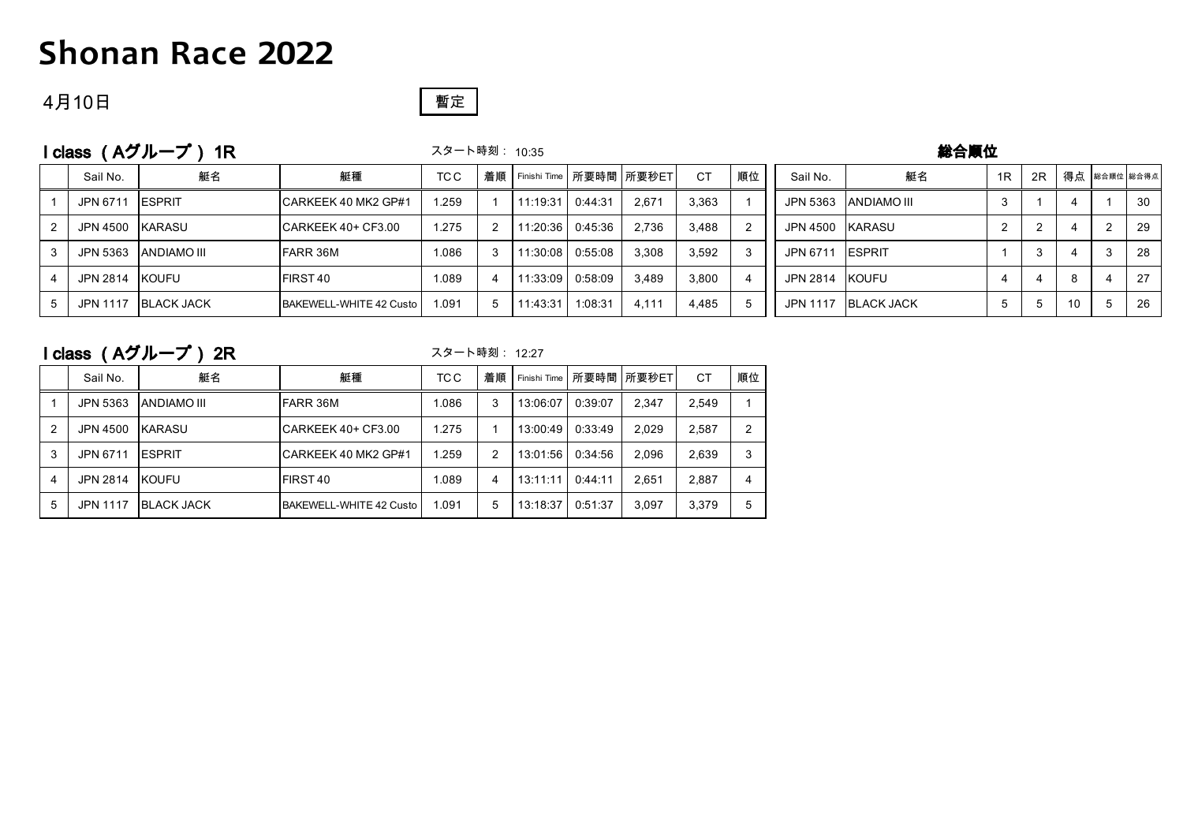## **Shonan Race 2022**

#### 4月10日



## I class (Aグループ) 1R

#### スタート時刻: 10:35

#### 総合順位

| Sail No.        | 艇名                 | 艇種                      | TC C  | 着順             |          |         | Finishi Time   所要時間   所要秒ET | <b>CT</b> | 順位 | Sail No.        | 艇名                   | 1R | 2R | 得点 | 総合順位 総合得点 |     |
|-----------------|--------------------|-------------------------|-------|----------------|----------|---------|-----------------------------|-----------|----|-----------------|----------------------|----|----|----|-----------|-----|
| JPN 6711        | <b>IESPRIT</b>     | ICARKEEK 40 MK2 GP#1    | 1.259 |                | 11:19:31 | 0:44:31 | 2.671                       | 3,363     |    |                 | JPN 5363 ANDIAMO III |    |    |    |           | 30  |
| JPN 4500 KARASU |                    | ICARKEEK 40+ CF3.00     | 1.275 | $\overline{2}$ | 1:20:36  | 0:45:36 | 2.736                       | 3.488     |    |                 | JPN 4500 KARASU      |    |    |    |           | 29  |
| JPN 5363        | <b>ANDIAMO III</b> | <b>IFARR 36M</b>        | 1.086 | -3             | 1:30:08  | 0:55:08 | 3.308                       | 3.592     |    | JPN 6711 ESPRIT |                      |    |    |    |           | -28 |
| JPN 2814 KOUFU  |                    | FIRST 40                | 1.089 |                | 1:33:09  | 0:58:09 | 3.489                       | 3.800     |    | JPN 2814 KOUFU  |                      |    |    |    |           | 27  |
| <b>JPN 1117</b> | <b>BLACK JACK</b>  | BAKEWELL-WHITE 42 Custo | 1.091 | -5             | 1:43:31  | 1:08:31 | 4.111                       | 4.485     |    |                 | JPN 1117 BLACK JACK  |    |    | 10 |           | 26  |

## I class (Aグループ) 2R

スタート時刻: 12:27

|   | Sail No.        | 艇名                 | 艇種                      | TC C  | 着順 | Finishi Time |         | 所要時間   所要秒ET | <b>CT</b> | 順位 |
|---|-----------------|--------------------|-------------------------|-------|----|--------------|---------|--------------|-----------|----|
|   | <b>JPN 5363</b> | <b>ANDIAMO III</b> | <b>FARR 36M</b>         | 1.086 | 3  | 13:06:07     | 0:39:07 | 2,347        | 2.549     |    |
| 2 | JPN 4500        | <b>KARASU</b>      | ICARKEEK 40+ CF3.00     | 1.275 |    | 13:00:49     | 0:33:49 | 2.029        | 2.587     | 2  |
| 3 | JPN 6711        | <b>ESPRIT</b>      | ICARKEEK 40 MK2 GP#1    | 1.259 | 2  | 13:01:56     | 0:34:56 | 2.096        | 2.639     | 3  |
| 4 | JPN 2814        | <b>KOUFU</b>       | FIRST <sub>40</sub>     | 1.089 | 4  | 13:11:11     | 0:44:11 | 2.651        | 2,887     | 4  |
| 5 | <b>JPN 1117</b> | <b>BLACK JACK</b>  | BAKEWELL-WHITE 42 Custo | 1.091 | 5  | 13:18:37     | 0:51:37 | 3.097        | 3,379     | 5  |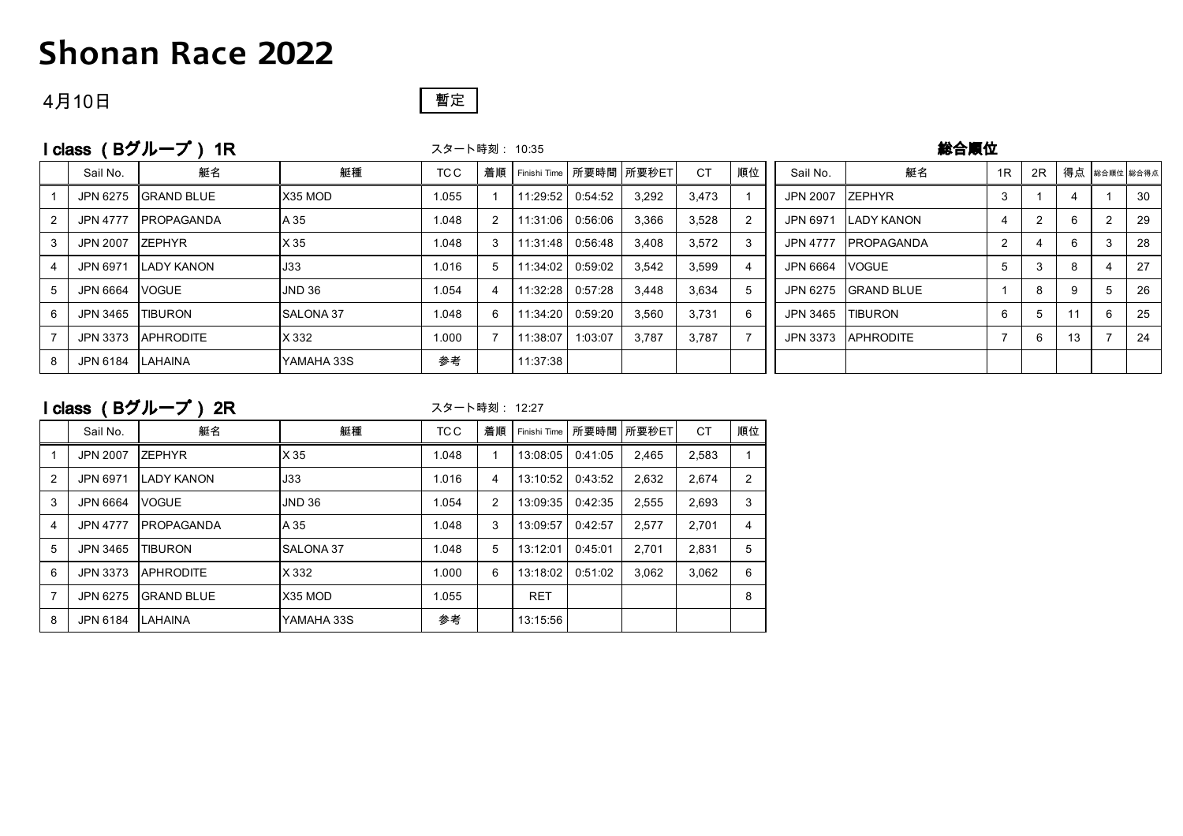# **Shonan Race 2022**

## 4月10日



## I class (Bグループ) 1R

#### スタート時刻: 10:35

#### 総合順位

|   | Sail No.         | 艇名                  | 艇種            | TC C  | 着順 |          |         | Finishi Time 所要時間 所要秒ET | <b>CT</b> | 順位             | Sail No.       | 艇名                 | 1R                    | 2R |    | 得点 総合順位 総合得点   |     |
|---|------------------|---------------------|---------------|-------|----|----------|---------|-------------------------|-----------|----------------|----------------|--------------------|-----------------------|----|----|----------------|-----|
|   |                  | JPN 6275 GRAND BLUE | X35 MOD       | 1.055 |    | 11:29:52 | 0:54:52 | 3,292                   | 3.473     |                | JPN 2007       | <b>ZEPHYR</b>      | 3                     |    |    |                | 30  |
|   | JPN 4777         | <b>IPROPAGANDA</b>  | A 35          | 1.048 |    | 11:31:06 | 0:56:06 | 3,366                   | 3,528     | 2              | JPN 6971       | <b>LADY KANON</b>  | $\boldsymbol{\Delta}$ |    |    | $\overline{2}$ | 29  |
|   | JPN 2007         | <b>ZEPHYR</b>       | X 35          | 1.048 |    | 11:31:48 | 0:56:48 | 3,408                   | 3.572     | 3              | JPN 4777       | <b>IPROPAGANDA</b> | 2                     |    |    | 3              | -28 |
|   | JPN 6971         | LADY KANON          | J33           | 1.016 |    | 11:34:02 | 0:59:02 | 3,542                   | 3,599     | $\overline{4}$ | JPN 6664 VOGUE |                    | 5                     |    |    |                | 27  |
|   | JPN 6664 VOGUE   |                     | <b>JND 36</b> | 1.054 |    | 11:32:28 | 0:57:28 | 3,448                   | 3,634     | 5              | JPN 6275       | <b>IGRAND BLUE</b> |                       |    |    | 5              | 26  |
| 6 | JPN 3465 TIBURON |                     | SALONA 37     | 1.048 | -6 | 11:34:20 | 0:59:20 | 3,560                   | 3,731     | 6              | JPN 3465       | <b>ITIBURON</b>    | 6                     |    | 11 | 6              | 25  |
|   | JPN 3373         | <b>APHRODITE</b>    | X 332         | 1.000 |    | 11:38:07 | 1:03:07 | 3,787                   | 3,787     |                | JPN 3373       | <b>APHRODITE</b>   |                       |    | 13 |                | 24  |
| 8 | JPN 6184 LAHAINA |                     | YAMAHA 33S    | 参考    |    | 11:37:38 |         |                         |           |                |                |                    |                       |    |    |                |     |

## I class (Bグループ) 2R

スタート時刻: 12:27

|                | Sail No.        | 艇名                | 艇種            | <b>TCC</b> | 着順 | Finishi Time | 所要時間    | 所要秒ET | <b>CT</b> | 順位 |
|----------------|-----------------|-------------------|---------------|------------|----|--------------|---------|-------|-----------|----|
|                | <b>JPN 2007</b> | <b>ZEPHYR</b>     | X 35          | 1.048      | 1  | 13:08:05     | 0:41:05 | 2,465 | 2,583     |    |
| 2              | JPN 6971        | LADY KANON        | J33           | 1.016      | 4  | 13:10:52     | 0:43:52 | 2,632 | 2.674     | 2  |
| 3              | JPN 6664        | <b>VOGUE</b>      | <b>JND 36</b> | 1.054      | 2  | 13:09:35     | 0:42:35 | 2,555 | 2.693     | 3  |
| 4              | <b>JPN 4777</b> | IPROPAGANDA       | A 35          | 1.048      | 3  | 13:09:57     | 0:42:57 | 2,577 | 2.701     | 4  |
| 5              | JPN 3465        | <b>TIBURON</b>    | ISALONA 37    | 1.048      | 5  | 13:12:01     | 0:45:01 | 2.701 | 2.831     | 5  |
| 6              | <b>JPN 3373</b> | <b>IAPHRODITE</b> | X 332         | 1.000      | 6  | 13:18:02     | 0:51:02 | 3,062 | 3.062     | 6  |
| $\overline{7}$ | JPN 6275        | IGRAND BLUE       | X35 MOD       | 1.055      |    | <b>RET</b>   |         |       |           | 8  |
| 8              | JPN 6184        | <b>LAHAINA</b>    | YAMAHA 33S    | 参考         |    | 13:15:56     |         |       |           |    |